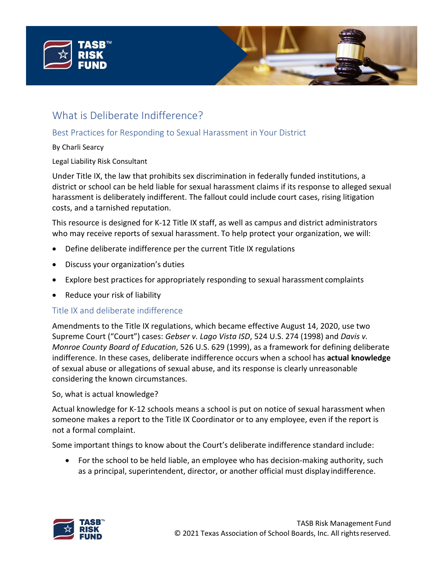

# What is Deliberate Indifference?

# Best Practices for Responding to Sexual Harassment in Your District

By Charli Searcy

Legal Liability Risk Consultant

Under Title IX, the law that prohibits sex discrimination in federally funded institutions, a district or school can be held liable for sexual harassment claims if its response to alleged sexual harassment is deliberately indifferent. The fallout could include court cases, rising litigation costs, and a tarnished reputation.

This resource is designed for K-12 Title IX staff, as well as campus and district administrators who may receive reports of sexual harassment. To help protect your organization, we will:

- Define deliberate indifference per the current Title IX regulations
- Discuss your organization's duties
- Explore best practices for appropriately responding to sexual harassment complaints
- Reduce your risk of liability

## Title IX and deliberate indifference

Amendments to the Title IX regulations, which became effective August 14, 2020, use two Supreme Court ("Court") cases: *Gebser v. Lago Vista ISD*, 524 U.S. 274 (1998) and *Davis v. Monroe County Board of Education*, 526 U.S. 629 (1999), as a framework for defining deliberate indifference. In these cases, deliberate indifference occurs when a school has **actual knowledge**  of sexual abuse or allegations of sexual abuse, and its response is clearly unreasonable considering the known circumstances.

So, what is actual knowledge?

Actual knowledge for K-12 schools means a school is put on notice of sexual harassment when someone makes a report to the Title IX Coordinator or to any employee, even if the report is not a formal complaint.

Some important things to know about the Court's deliberate indifference standard include:

• For the school to be held liable, an employee who has decision-making authority, such as a principal, superintendent, director, or another official must display indifference.

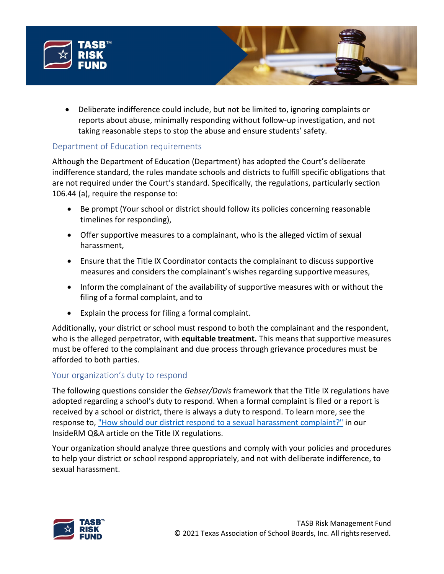

• Deliberate indifference could include, but not be limited to, ignoring complaints or reports about abuse, minimally responding without follow-up investigation, and not taking reasonable steps to stop the abuse and ensure students' safety.

## Department of Education requirements

Although the Department of Education (Department) has adopted the Court's deliberate indifference standard, the rules mandate schools and districts to fulfill specific obligations that are not required under the Court's standard. Specifically, the regulations, particularly section 106.44 (a), require the response to:

- Be prompt (Your school or district should follow its policies concerning reasonable timelines for responding),
- Offer supportive measures to a complainant, who is the alleged victim of sexual harassment,
- Ensure that the Title IX Coordinator contacts the complainant to discuss supportive measures and considers the complainant's wishes regarding supportivemeasures,
- Inform the complainant of the availability of supportive measures with or without the filing of a formal complaint, and to
- Explain the process for filing a formal complaint.

Additionally, your district or school must respond to both the complainant and the respondent, who is the alleged perpetrator, with **equitable treatment.** This means that supportive measures must be offered to the complainant and due process through grievance procedures must be afforded to both parties.

## Your organization's duty to respond

The following questions consider the *Gebser/Davis* framework that the Title IX regulations have adopted regarding a school's duty to respond. When a formal complaint is filed or a report is received by a school or district, there is always a duty to respond. To learn more, see the response to, ["How should our district respond to a sexual harassment complaint?"](https://www.tasbrmf.org/learning-news/insiderm/home/coverage/liability/new-title-ix-regulations-your-questions-answered.aspx) in our InsideRM Q&A article on the Title IX regulations.

Your organization should analyze three questions and comply with your policies and procedures to help your district or school respond appropriately, and not with deliberate indifference, to sexual harassment.

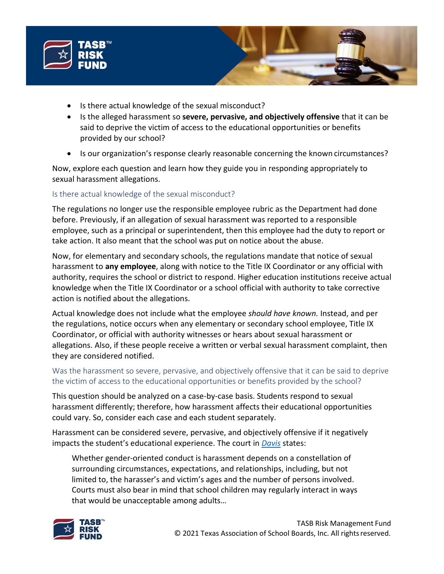

- Is there actual knowledge of the sexual misconduct?
- Is the alleged harassment so **severe, pervasive, and objectively offensive** that it can be said to deprive the victim of access to the educational opportunities or benefits provided by our school?
- Is our organization's response clearly reasonable concerning the known circumstances?

Now, explore each question and learn how they guide you in responding appropriately to sexual harassment allegations.

## Is there actual knowledge of the sexual misconduct?

The regulations no longer use the responsible employee rubric as the Department had done before. Previously, if an allegation of sexual harassment was reported to a responsible employee, such as a principal or superintendent, then this employee had the duty to report or take action. It also meant that the school was put on notice about the abuse.

Now, for elementary and secondary schools, the regulations mandate that notice of sexual harassment to **any employee**, along with notice to the Title IX Coordinator or any official with authority, requires the school or district to respond. Higher education institutions receive actual knowledge when the Title IX Coordinator or a school official with authority to take corrective action is notified about the allegations.

Actual knowledge does not include what the employee *should have known.* Instead, and per the regulations, notice occurs when any elementary or secondary school employee, Title IX Coordinator, or official with authority witnesses or hears about sexual harassment or allegations. Also, if these people receive a written or verbal sexual harassment complaint, then they are considered notified.

## Was the harassment so severe, pervasive, and objectively offensive that it can be said to deprive the victim of access to the educational opportunities or benefits provided by the school?

This question should be analyzed on a case-by-case basis. Students respond to sexual harassment differently; therefore, how harassment affects their educational opportunities could vary. So, consider each case and each student separately.

Harassment can be considered severe, pervasive, and objectively offensive if it negatively impacts the student's educational experience. The court in *[Davis](https://supreme.justia.com/cases/federal/us/526/629/)* states:

Whether gender-oriented conduct is harassment depends on a constellation of surrounding circumstances, expectations, and relationships, including, but not limited to, the harasser's and victim's ages and the number of persons involved. Courts must also bear in mind that school children may regularly interact in ways that would be unacceptable among adults…

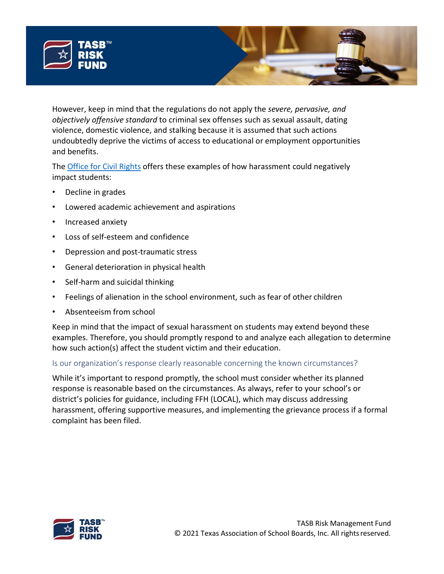

However, keep in mind that the regulations do not apply the *severe, pervasive, and objectively offensive standard* to criminal sex offenses such as sexual assault, dating violence, domestic violence, and stalking because it is assumed that such actions undoubtedly deprive the victims of access to educational or employment opportunities and benefits.

The **Office for Civil Rights** offers these examples of how harassment could negatively impact students:

- Decline in grades
- Lowered academic achievement and aspirations
- Increased anxiety
- Loss of self-esteem and confidence
- Depression and post-traumatic stress
- General deterioration in physical health
- Self-harm and suicidal thinking
- Feelings of alienation in the school environment, such as fear of other children
- Absenteeism from school

Keep in mind that the impact of sexual harassment on students may extend beyond these examples. Therefore, you should promptly respond to and analyze each allegation to determine how such action(s) affect the student victim and their education.

## Is our organization's response clearly reasonable concerning the known circumstances?

While it's important to respond promptly, the school must consider whether its planned response is reasonable based on the circumstances. As always, refer to your school's or district's policies for guidance, including FFH (LOCAL), which may discuss addressing harassment, offering supportive measures, and implementing the grievance process if a formal complaint has been filed.

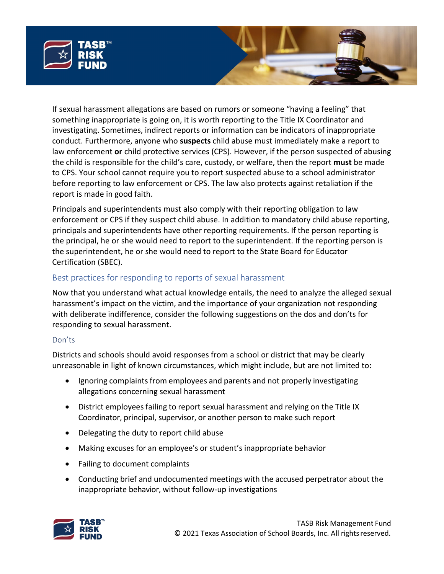

If sexual harassment allegations are based on rumors or someone "having a feeling" that something inappropriate is going on, it is worth reporting to the Title IX Coordinator and investigating. Sometimes, indirect reports or information can be indicators of inappropriate conduct. Furthermore, anyone who **suspects** child abuse must immediately make a report to law enforcement **or** child protective services (CPS). However, if the person suspected of abusing the child is responsible for the child's care, custody, or welfare, then the report **must** be made to CPS. Your school cannot require you to report suspected abuse to a school administrator before reporting to law enforcement or CPS. The law also protects against retaliation if the report is made in good faith.

Principals and superintendents must also comply with their reporting obligation to law enforcement or CPS if they suspect child abuse. In addition to mandatory child abuse reporting, principals and superintendents have other reporting requirements. If the person reporting is the principal, he or she would need to report to the superintendent. If the reporting person is the superintendent, he or she would need to report to the State Board for Educator Certification (SBEC).

## Best practices for responding to reports of sexual harassment

Now that you understand what actual knowledge entails, the need to analyze the alleged sexual harassment's impact on the victim, and the importance of your organization not responding with deliberate indifference, consider the following suggestions on the dos and don'ts for responding to sexual harassment.

#### Don'ts

Districts and schools should avoid responses from a school or district that may be clearly unreasonable in light of known circumstances, which might include, but are not limited to:

- Ignoring complaints from employees and parents and not properly investigating allegations concerning sexual harassment
- District employees failing to report sexual harassment and relying on the Title IX Coordinator, principal, supervisor, or another person to make such report
- Delegating the duty to report child abuse
- Making excuses for an employee's or student's inappropriate behavior
- Failing to document complaints
- Conducting brief and undocumented meetings with the accused perpetrator about the inappropriate behavior, without follow-up investigations

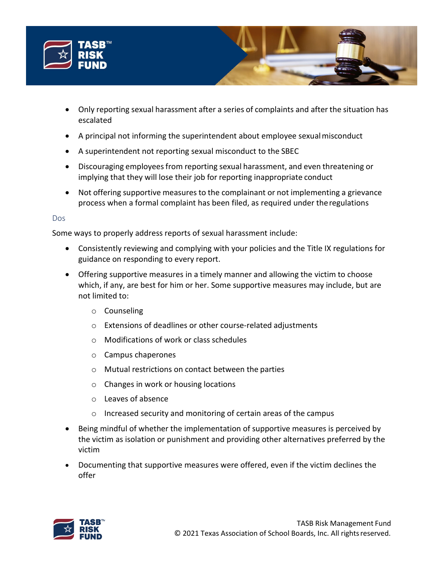

- Only reporting sexual harassment after a series of complaints and after the situation has escalated
- A principal not informing the superintendent about employee sexualmisconduct
- A superintendent not reporting sexual misconduct to the SBEC
- Discouraging employees from reporting sexual harassment, and even threatening or implying that they will lose their job for reporting inappropriate conduct
- Not offering supportive measures to the complainant or not implementing a grievance process when a formal complaint has been filed, as required under theregulations

#### Dos

Some ways to properly address reports of sexual harassment include:

- Consistently reviewing and complying with your policies and the Title IX regulations for guidance on responding to every report.
- Offering supportive measures in a timely manner and allowing the victim to choose which, if any, are best for him or her. Some supportive measures may include, but are not limited to:
	- o Counseling
	- o Extensions of deadlines or other course-related adjustments
	- o Modifications of work or class schedules
	- o Campus chaperones
	- o Mutual restrictions on contact between the parties
	- o Changes in work or housing locations
	- o Leaves of absence
	- o Increased security and monitoring of certain areas of the campus
- Being mindful of whether the implementation of supportive measures is perceived by the victim as isolation or punishment and providing other alternatives preferred by the victim
- Documenting that supportive measures were offered, even if the victim declines the offer

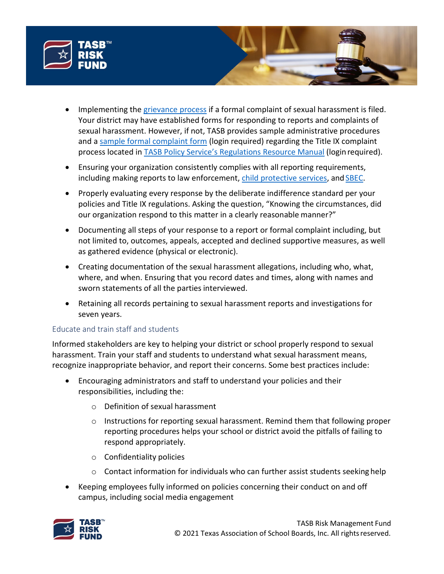

- Implementing the [grievance process](https://www2.ed.gov/about/offices/list/ocr/docs/titleix-summary.pdf#page%3D4) if a formal complaint of sexual harassment is filed. Your district may have established forms for responding to reports and complaints of sexual harassment. However, if not, TASB provides sample administrative procedures and a [sample formal complaint form](https://pol.tasb.org/Policy/Download/105?filename=FFH(XHIBIT).pdf) (login required) regarding the Title IX complaint process located in [TASB Policy Service's Regulations Resource Manual](https://www.tasb.org/apps/CA1/?Destination=%2fServices%2fPolicy-Service%2fmyTASB%2fRegulations-Resource-Manual.aspx) (login required).
- Ensuring your organization consistently complies with all reporting requirements, including making reports to law enforcement, [child protective services,](https://www.dfps.state.tx.us/Contact_Us/documents/swiflyer.pdf) and [SBEC.](https://tea.texas.gov/texas-educators/investigations/superintendent-reporting-requirements)
- Properly evaluating every response by the deliberate indifference standard per your policies and Title IX regulations. Asking the question, "Knowing the circumstances, did our organization respond to this matter in a clearly reasonable manner?"
- Documenting all steps of your response to a report or formal complaint including, but not limited to, outcomes, appeals, accepted and declined supportive measures, as well as gathered evidence (physical or electronic).
- Creating documentation of the sexual harassment allegations, including who, what, where, and when. Ensuring that you record dates and times, along with names and sworn statements of all the parties interviewed.
- Retaining all records pertaining to sexual harassment reports and investigations for seven years.

## Educate and train staff and students

Informed stakeholders are key to helping your district or school properly respond to sexual harassment. Train your staff and students to understand what sexual harassment means, recognize inappropriate behavior, and report their concerns. Some best practices include:

- Encouraging administrators and staff to understand your policies and their responsibilities, including the:
	- o Definition of sexual harassment
	- $\circ$  Instructions for reporting sexual harassment. Remind them that following proper reporting procedures helps your school or district avoid the pitfalls of failing to respond appropriately.
	- o Confidentiality policies
	- $\circ$  Contact information for individuals who can further assist students seeking help
- Keeping employees fully informed on policies concerning their conduct on and off campus, including social media engagement